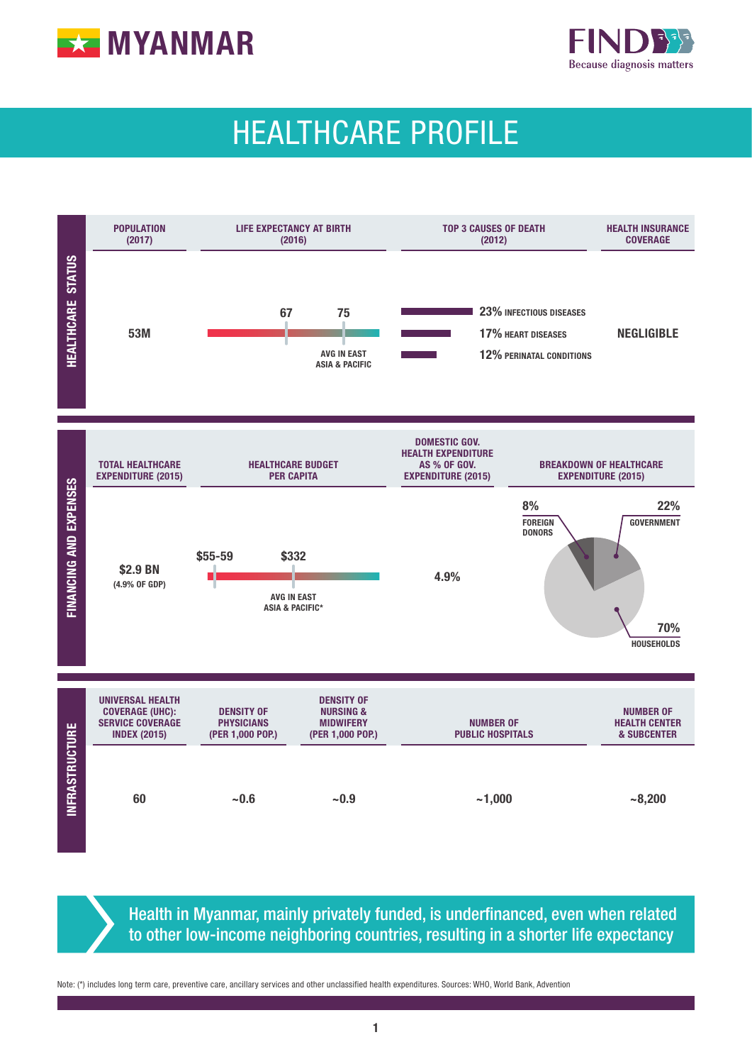



# HEALTHCARE PROFILE



Health in Myanmar, mainly privately funded, is underfinanced, even when related to other low-income neighboring countries, resulting in a shorter life expectancy

Note: (\*) includes long term care, preventive care, ancillary services and other unclassified health expenditures. Sources: WHO, World Bank, Advention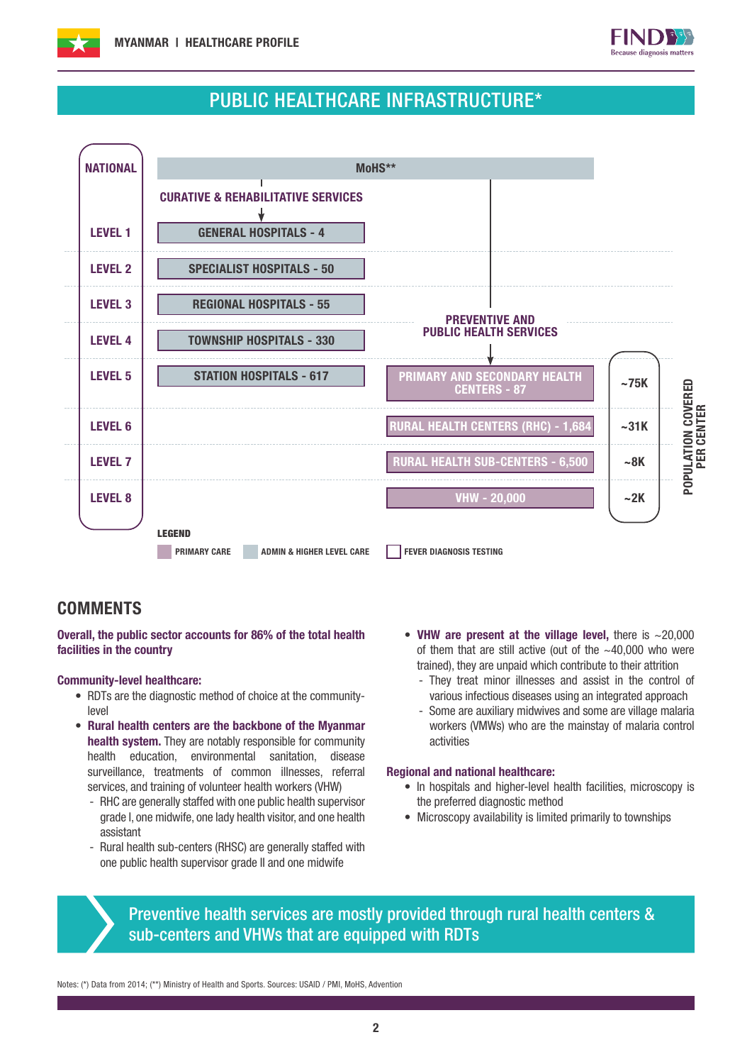



### PUBLIC HEALTHCARE INFRASTRUCTURE\*



### **COMMENTS**

Overall, the public sector accounts for 86% of the total health facilities in the country

### Community-level healthcare:

- RDTs are the diagnostic method of choice at the communitylevel
- Rural health centers are the backbone of the Myanmar health system. They are notably responsible for community health education, environmental sanitation, disease surveillance, treatments of common illnesses, referral services, and training of volunteer health workers (VHW)
	- RHC are generally staffed with one public health supervisor grade I, one midwife, one lady health visitor, and one health assistant
	- Rural health sub-centers (RHSC) are generally staffed with one public health supervisor grade II and one midwife
- VHW are present at the village level, there is  $\sim$  20,000 of them that are still active (out of the  $~10000$  who were trained), they are unpaid which contribute to their attrition
	- They treat minor illnesses and assist in the control of various infectious diseases using an integrated approach
	- Some are auxiliary midwives and some are village malaria workers (VMWs) who are the mainstay of malaria control activities

#### Regional and national healthcare:

- In hospitals and higher-level health facilities, microscopy is the preferred diagnostic method
- Microscopy availability is limited primarily to townships

Preventive health services are mostly provided through rural health centers & sub-centers and VHWs that are equipped with RDTs

Notes: (\*) Data from 2014; (\*\*) Ministry of Health and Sports. Sources: USAID / PMI, MoHS, Advention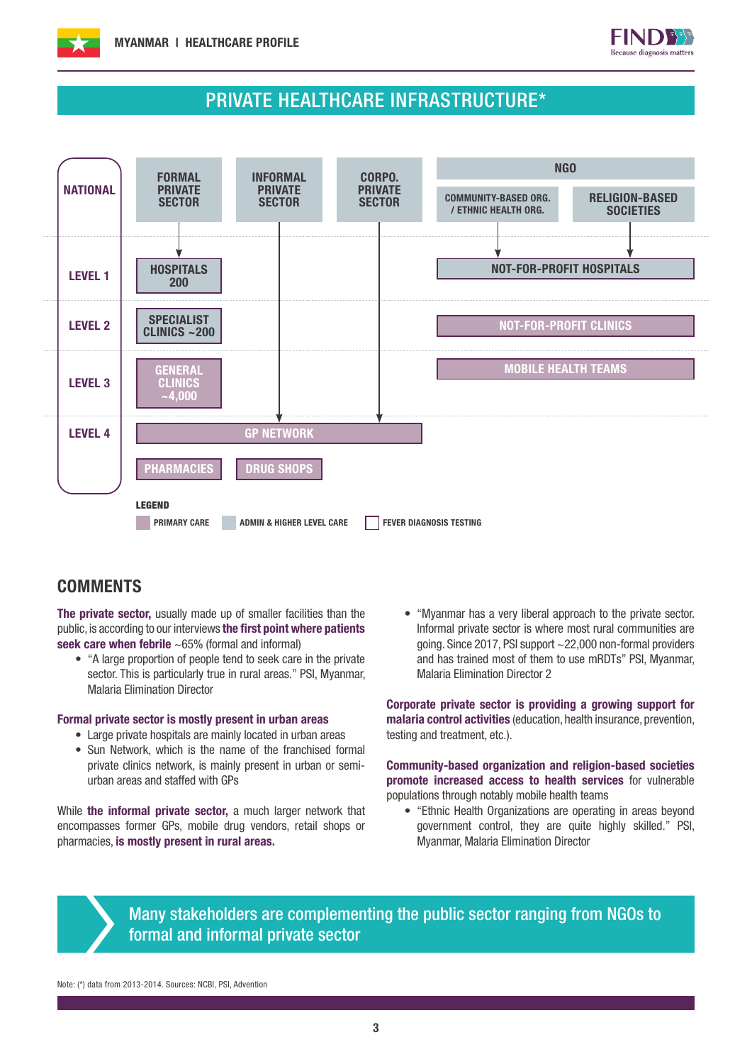



### PRIVATE HEALTHCARE INFRASTRUCTURE\*



### **COMMENTS**

The private sector, usually made up of smaller facilities than the public, is according to our interviews the first point where patients seek care when febrile ~65% (formal and informal)

• "A large proportion of people tend to seek care in the private sector. This is particularly true in rural areas." PSI, Myanmar, Malaria Elimination Director

#### Formal private sector is mostly present in urban areas

- Large private hospitals are mainly located in urban areas
- Sun Network, which is the name of the franchised formal private clinics network, is mainly present in urban or semiurban areas and staffed with GPs

While the informal private sector, a much larger network that encompasses former GPs, mobile drug vendors, retail shops or pharmacies, is mostly present in rural areas.

• "Myanmar has a very liberal approach to the private sector. Informal private sector is where most rural communities are going. Since 2017, PSI support ~22,000 non-formal providers and has trained most of them to use mRDTs" PSI, Myanmar, Malaria Elimination Director 2

Corporate private sector is providing a growing support for malaria control activities (education, health insurance, prevention, testing and treatment, etc.).

Community-based organization and religion-based societies promote increased access to health services for vulnerable populations through notably mobile health teams

• "Ethnic Health Organizations are operating in areas beyond government control, they are quite highly skilled." PSI, Myanmar, Malaria Elimination Director



Many stakeholders are complementing the public sector ranging from NGOs to formal and informal private sector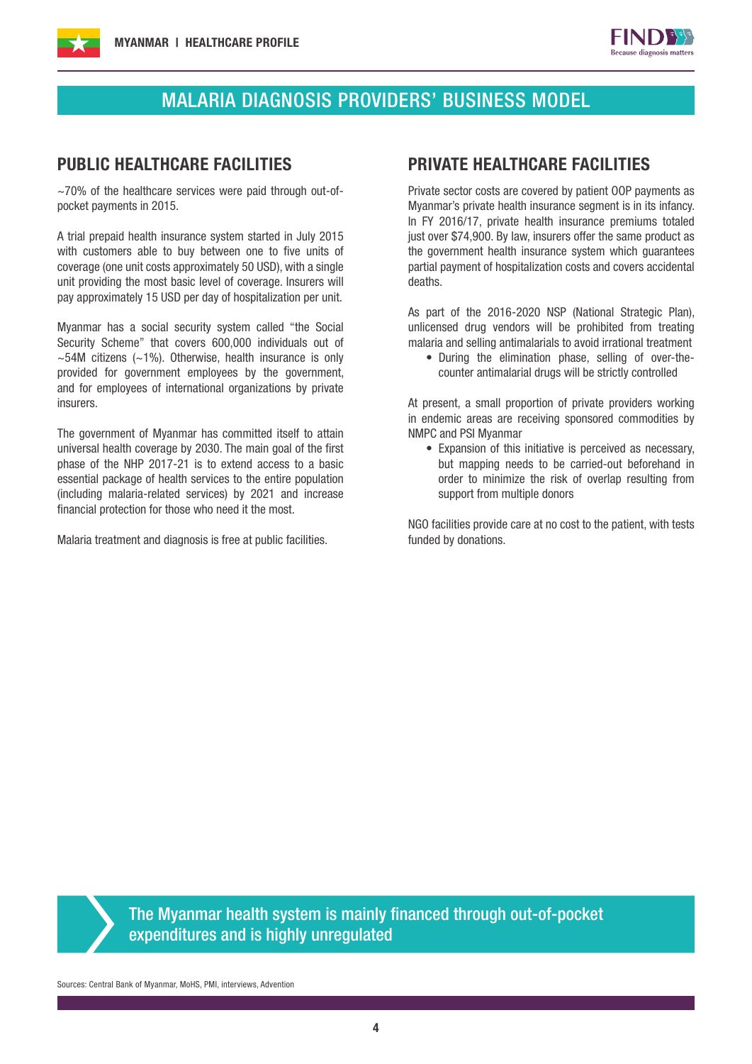



## MALARIA DIAGNOSIS PROVIDERS' BUSINESS MODEL

~70% of the healthcare services were paid through out-ofpocket payments in 2015.

A trial prepaid health insurance system started in July 2015 with customers able to buy between one to five units of coverage (one unit costs approximately 50 USD), with a single unit providing the most basic level of coverage. Insurers will pay approximately 15 USD per day of hospitalization per unit.

Myanmar has a social security system called "the Social Security Scheme" that covers 600,000 individuals out of  $\sim$ 54M citizens ( $\sim$ 1%). Otherwise, health insurance is only provided for government employees by the government, and for employees of international organizations by private insurers.

The government of Myanmar has committed itself to attain universal health coverage by 2030. The main goal of the first phase of the NHP 2017-21 is to extend access to a basic essential package of health services to the entire population (including malaria-related services) by 2021 and increase financial protection for those who need it the most.

Malaria treatment and diagnosis is free at public facilities.

### PUBLIC HEALTHCARE FACILITIES PRIVATE HEALTHCARE FACILITIES

Private sector costs are covered by patient OOP payments as Myanmar's private health insurance segment is in its infancy. In FY 2016/17, private health insurance premiums totaled just over \$74,900. By law, insurers offer the same product as the government health insurance system which guarantees partial payment of hospitalization costs and covers accidental deaths.

As part of the 2016-2020 NSP (National Strategic Plan), unlicensed drug vendors will be prohibited from treating malaria and selling antimalarials to avoid irrational treatment

• During the elimination phase, selling of over-thecounter antimalarial drugs will be strictly controlled

At present, a small proportion of private providers working in endemic areas are receiving sponsored commodities by NMPC and PSI Myanmar

• Expansion of this initiative is perceived as necessary, but mapping needs to be carried-out beforehand in order to minimize the risk of overlap resulting from support from multiple donors

NGO facilities provide care at no cost to the patient, with tests funded by donations.

The Myanmar health system is mainly financed through out-of-pocket expenditures and is highly unregulated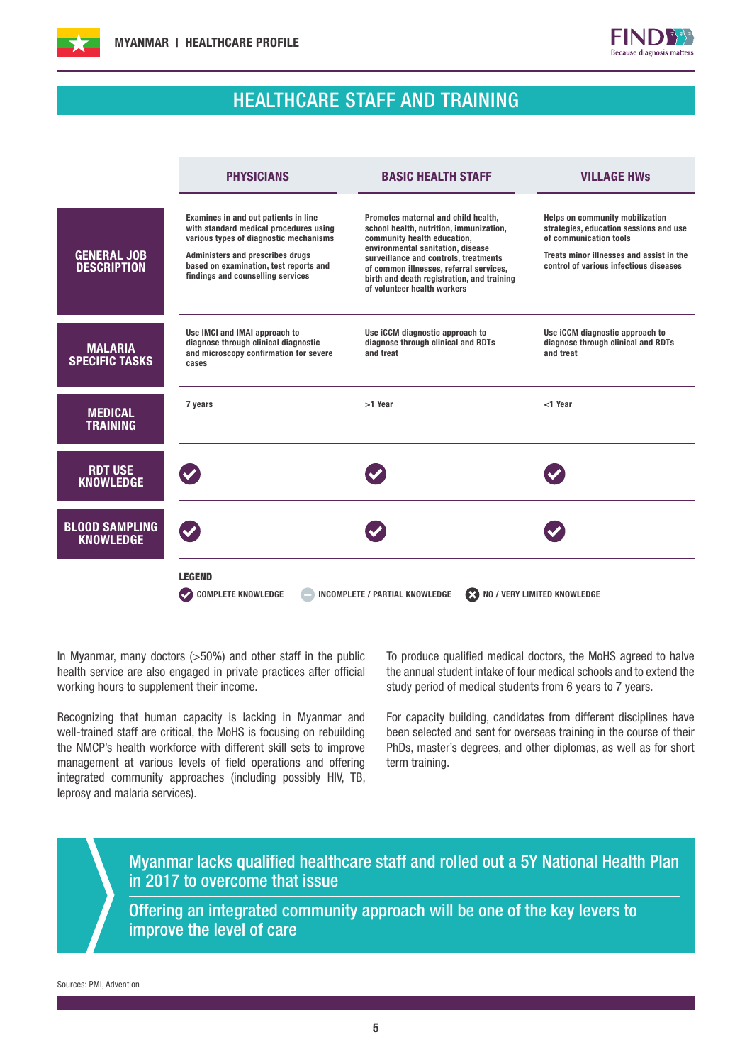



### HEALTHCARE STAFF AND TRAINING

|                                           | <b>PHYSICIANS</b>                                                                                                                                                                                                                           | <b>BASIC HEALTH STAFF</b>                                                                                                                                                                                                                                                                                           | <b>VILLAGE HWS</b>                                                                                                                                                                               |
|-------------------------------------------|---------------------------------------------------------------------------------------------------------------------------------------------------------------------------------------------------------------------------------------------|---------------------------------------------------------------------------------------------------------------------------------------------------------------------------------------------------------------------------------------------------------------------------------------------------------------------|--------------------------------------------------------------------------------------------------------------------------------------------------------------------------------------------------|
| <b>GENERAL JOB</b><br><b>DESCRIPTION</b>  | Examines in and out patients in line<br>with standard medical procedures using<br>various types of diagnostic mechanisms<br>Administers and prescribes drugs<br>based on examination, test reports and<br>findings and counselling services | Promotes maternal and child health.<br>school health, nutrition, immunization,<br>community health education,<br>environmental sanitation, disease<br>surveillance and controls, treatments<br>of common illnesses, referral services,<br>birth and death registration, and training<br>of volunteer health workers | <b>Helps on community mobilization</b><br>strategies, education sessions and use<br>of communication tools<br>Treats minor illnesses and assist in the<br>control of various infectious diseases |
| <b>MALARIA</b><br><b>SPECIFIC TASKS</b>   | Use IMCI and IMAI approach to<br>diagnose through clinical diagnostic<br>and microscopy confirmation for severe<br>cases                                                                                                                    | Use iCCM diagnostic approach to<br>diagnose through clinical and RDTs<br>and treat                                                                                                                                                                                                                                  | Use iCCM diagnostic approach to<br>diagnose through clinical and RDTs<br>and treat                                                                                                               |
| <b>MEDICAL</b><br><b>TRAINING</b>         | 7 years                                                                                                                                                                                                                                     | >1 Year                                                                                                                                                                                                                                                                                                             | <1 Year                                                                                                                                                                                          |
| <b>RDT USE</b><br><b>KNOWLEDGE</b>        |                                                                                                                                                                                                                                             |                                                                                                                                                                                                                                                                                                                     |                                                                                                                                                                                                  |
| <b>BLOOD SAMPLING</b><br><b>KNOWLEDGE</b> |                                                                                                                                                                                                                                             |                                                                                                                                                                                                                                                                                                                     |                                                                                                                                                                                                  |
|                                           | <b>LEGEND</b><br><b>COMPLETE KNOWLEDGE</b><br><b>INCOMPLETE / PARTIAL KNOWLEDGE</b><br><b>EXT</b> NO / VERY LIMITED KNOWLEDGE                                                                                                               |                                                                                                                                                                                                                                                                                                                     |                                                                                                                                                                                                  |

In Myanmar, many doctors (>50%) and other staff in the public health service are also engaged in private practices after official working hours to supplement their income.

Recognizing that human capacity is lacking in Myanmar and well-trained staff are critical, the MoHS is focusing on rebuilding the NMCP's health workforce with different skill sets to improve management at various levels of field operations and offering integrated community approaches (including possibly HIV, TB, leprosy and malaria services).

To produce qualified medical doctors, the MoHS agreed to halve the annual student intake of four medical schools and to extend the study period of medical students from 6 years to 7 years.

For capacity building, candidates from different disciplines have been selected and sent for overseas training in the course of their PhDs, master's degrees, and other diplomas, as well as for short term training.

Myanmar lacks qualified healthcare staff and rolled out a 5Y National Health Plan in 2017 to overcome that issue

Offering an integrated community approach will be one of the key levers to improve the level of care

Sources: PMI, Advention